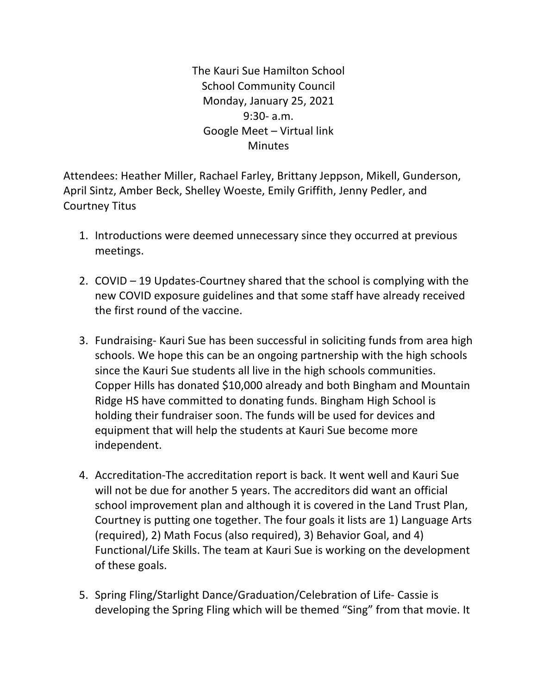The Kauri Sue Hamilton School **School Community Council** Monday, January 25, 2021 9:30- a.m. Google Meet – Virtual link **Minutes** 

Attendees: Heather Miller, Rachael Farley, Brittany Jeppson, Mikell, Gunderson, April Sintz, Amber Beck, Shelley Woeste, Emily Griffith, Jenny Pedler, and Courtney Titus

- 1. Introductions were deemed unnecessary since they occurred at previous meetings.
- 2. COVID  $-19$  Updates-Courtney shared that the school is complying with the new COVID exposure guidelines and that some staff have already received the first round of the vaccine.
- 3. Fundraising- Kauri Sue has been successful in soliciting funds from area high schools. We hope this can be an ongoing partnership with the high schools since the Kauri Sue students all live in the high schools communities. Copper Hills has donated \$10,000 already and both Bingham and Mountain Ridge HS have committed to donating funds. Bingham High School is holding their fundraiser soon. The funds will be used for devices and equipment that will help the students at Kauri Sue become more independent.
- 4. Accreditation-The accreditation report is back. It went well and Kauri Sue will not be due for another 5 years. The accreditors did want an official school improvement plan and although it is covered in the Land Trust Plan, Courtney is putting one together. The four goals it lists are 1) Language Arts (required), 2) Math Focus (also required), 3) Behavior Goal, and 4) Functional/Life Skills. The team at Kauri Sue is working on the development of these goals.
- 5. Spring Fling/Starlight Dance/Graduation/Celebration of Life- Cassie is developing the Spring Fling which will be themed "Sing" from that movie. It